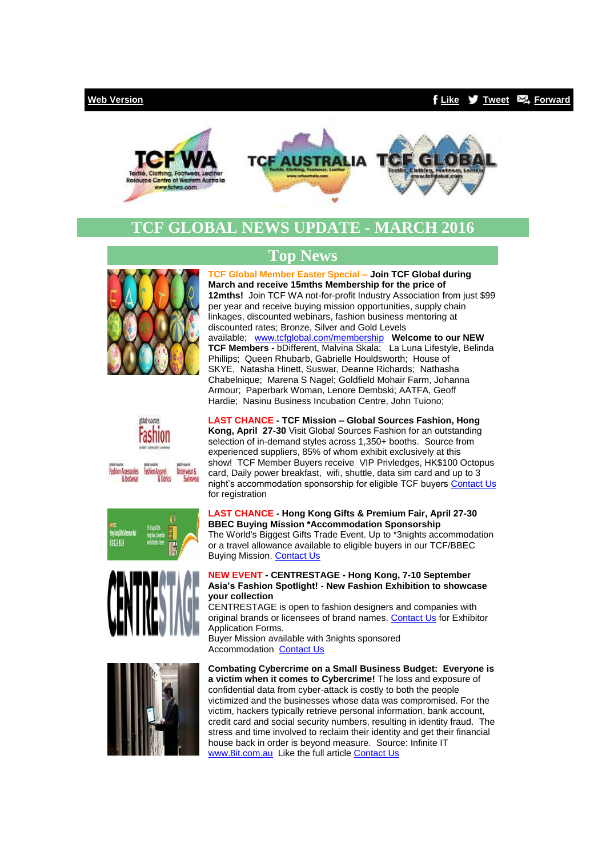# **[Web Version](http://bbec.bridgewaymailer.com/t/j-e-klllitl-cfliira-y/) [Like](http://bbec.bridgewaymailer.com/t/j-fb-klllitl-cfliira-h/) [Tweet](http://bbec.bridgewaymailer.com/t/j-tw-klllitl-cfliira-u/) [Forward](http://belmontbec.forwardtomyfriend.com/j-cfliira-32345081-klllitl-l-b)**





# **TCF GLOBAL NEWS UPDATE - MARCH 2016**











# **Top News**

**TCF Global Member Easter Special – Join TCF Global during March and receive 15mths Membership for the price of 12mths!** Join TCF WA not-for-profit Industry Association from just \$99 per year and receive buying mission opportunities, supply chain linkages, discounted webinars, fashion business mentoring at discounted rates; Bronze, Silver and Gold Levels available; [www.tcfglobal.com/membership](http://bbec.bridgewaymailer.com/t/j-l-klllitl-cfliira-p/) **Welcome to our NEW TCF Members -** bDifferent, Malvina Skala; La Luna Lifestyle, Belinda Phillips; Queen Rhubarb, Gabrielle Houldsworth; House of SKYE, Natasha Hinett, Suswar, Deanne Richards; Nathasha Chabelnique; Marena S Nagel; Goldfield Mohair Farm, Johanna Armour; Paperbark Woman, Lenore Dembski; AATFA, Geoff Hardie; Nasinu Business Incubation Centre, John Tuiono;

**LAST CHANCE - TCF Mission – Global Sources Fashion, Hong Kong, April 27-30** Visit Global Sources Fashion for an outstanding selection of in-demand styles across 1,350+ booths. Source from experienced suppliers, 85% of whom exhibit exclusively at this show! TCF Member Buyers receive VIP Privledges, HK\$100 Octopus card, Daily power breakfast, wifi, shuttle, data sim card and up to 3 night's accommodation sponsorship for eligible TCF buyers [Contact Us](mailto:info@tcfwa.com?subject=Re%3A%20Buying%20Mission-Global%20Sources%20Fashion%20HongKong%2027-30%20April%202016) for registration

**LAST CHANCE - Hong Kong Gifts & Premium Fair, April 27-30 BBEC Buying Mission \*Accommodation Sponsorship** The World's Biggest Gifts Trade Event. Up to \*3nights accommodation or a travel allowance available to eligible buyers in our TCF/BBEC Buying Mission. [Contact Us](mailto:events@tcfaustralia.com?subject=Re%3A%20Hong%20Kong%20Gifts%20%26%20Premium%20Fair%2C%20April%2027-30%20BBEC%20Buying%20Mission%20*Accommodation%20Sponsorship)

# **NEW EVENT - CENTRESTAGE - Hong Kong, 7-10 September Asia's Fashion Spotlight! - New Fashion Exhibition to showcase your collection**

CENTRESTAGE is open to fashion designers and companies with original brands or licensees of brand names. [Contact Us](mailto:events@tcfwa.com?subject=Re%3ACENTRESTAGE%20-%20Hong%20Kong%2C%207-10%20September%20Asia%E2%80%99s%20Fashion%20Spotlight!%20-%20New%20Fashion%20Exhibition%20to%20showcase%20your%20collection) for Exhibitor Application Forms.

Buyer Mission available with 3nights sponsored Accommodation [Contact Us](mailto:events@tcfwa.com?subject=Re%3A%20CENTRESTAGE%20-%20Hong%20Kong%2C%207-10%20September%20Asia%E2%80%99s%20Fashion%20Spotlight!%20-%20New%20Fashion%20Exhibition%20to%20showcase%20your%20collection)

**Combating Cybercrime on a Small Business Budget: Everyone is a victim when it comes to Cybercrime!** The loss and exposure of confidential data from cyber-attack is costly to both the people victimized and the businesses whose data was compromised. For the victim, hackers typically retrieve personal information, bank account, credit card and social security numbers, resulting in identity fraud. The stress and time involved to reclaim their identity and get their financial house back in order is beyond measure. Source: Infinite IT [www.8it.com.au](http://bbec.bridgewaymailer.com/t/j-l-klllitl-cfliira-x/) Like the full articl[e Contact Us](mailto:info@belmontbec.com?subject=Re%3ACombating%20Cybercrime%20on%20a%20Small%20Business%20Budget%3A%20%20Everyone%20is%20a%20victim%20when%20it%20comes%20to%20Cybercrime!)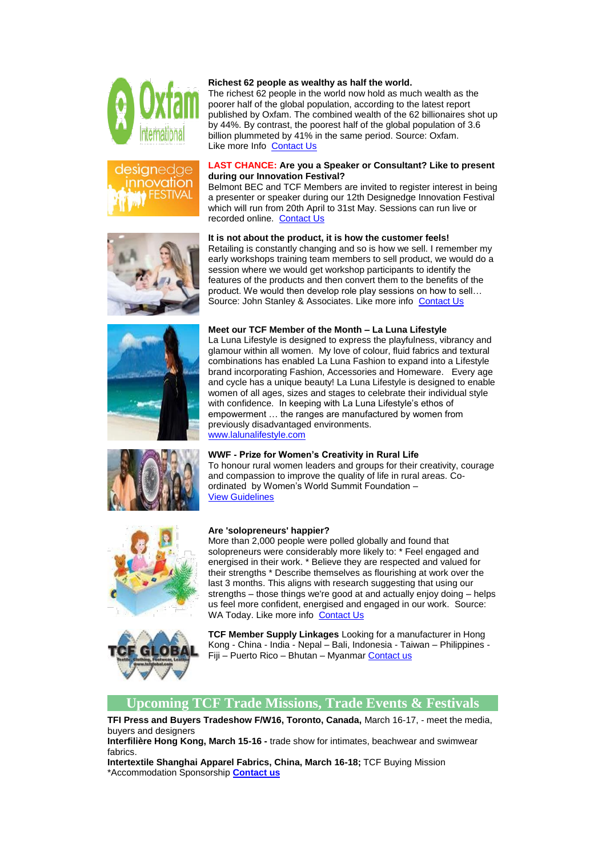









#### **Richest 62 people as wealthy as half the world.**

The richest 62 people in the world now hold as much wealth as the poorer half of the global population, according to the latest report published by Oxfam. The combined wealth of the 62 billionaires shot up by 44%. By contrast, the poorest half of the global population of 3.6 billion plummeted by 41% in the same period. Source: Oxfam. Like more Info [Contact Us](mailto:info@belmontbec.com?subject=Re%3A%20Richest%2062%20people%20as%20wealthy%20as%20half%20the%20world)

#### **LAST CHANCE: Are you a Speaker or Consultant? Like to present during our Innovation Festival?**

Belmont BEC and TCF Members are invited to register interest in being a presenter or speaker during our 12th Designedge Innovation Festival which will run from 20th April to 31st May. Sessions can run live or recorded online. [Contact Us](mailto:info@belmontbec.com?subject=Re%3A%20Are%20you%20a%20Speaker%20or%20Consultant%3F%20Like%20to%20present%20during%20our%20Innovation%20Festival%3F)

#### **It is not about the product, it is how the customer feels!**

Retailing is constantly changing and so is how we sell. I remember my early workshops training team members to sell product, we would do a session where we would get workshop participants to identify the features of the products and then convert them to the benefits of the product. We would then develop role play sessions on how to sell… Source: John Stanley & Associates. Like more info [Contact Us](mailto:info@belmontbec.com?subject=Re%3A%20It%20is%20not%20about%20the%20product%2C%20it%20is%20how%20the%20customer%20feels!)

#### **Meet our TCF Member of the Month – La Luna Lifestyle**

La Luna Lifestyle is designed to express the playfulness, vibrancy and glamour within all women. My love of colour, fluid fabrics and textural combinations has enabled La Luna Fashion to expand into a Lifestyle brand incorporating Fashion, Accessories and Homeware. Every age and cycle has a unique beauty! La Luna Lifestyle is designed to enable women of all ages, sizes and stages to celebrate their individual style with confidence. In keeping with La Luna Lifestyle's ethos of empowerment … the ranges are manufactured by women from previously disadvantaged environments. [www.lalunalifestyle.com](http://bbec.bridgewaymailer.com/t/j-l-klllitl-cfliira-m/)

#### **WWF - Prize for Women's Creativity in Rural Life**

To honour rural women leaders and groups for their creativity, courage and compassion to improve the quality of life in rural areas. Coordinated by Women's World Summit Foundation – [View Guidelines](http://bbec.bridgewaymailer.com/t/j-l-klllitl-cfliira-c/)



### **Are 'solopreneurs' happier?**

More than 2,000 people were polled globally and found that solopreneurs were considerably more likely to: \* Feel engaged and energised in their work. \* Believe they are respected and valued for their strengths \* Describe themselves as flourishing at work over the last 3 months. This aligns with research suggesting that using our strengths – those things we're good at and actually enjoy doing – helps us feel more confident, energised and engaged in our work. Source: WA Today. Like more info [Contact Us](mailto:info@belmontbec.com?subject=Re%3A%20Are%20)



**TCF Member Supply Linkages** Looking for a manufacturer in Hong Kong - China - India - Nepal – Bali, Indonesia - Taiwan – Philippines - Fiji – Puerto Rico – Bhutan – Myanmar [Contact us](mailto:support@tcfwa.com?subject=TCF%20Member%20Linkages)

## **Upcoming TCF Trade Missions, Trade Events & Festivals**

**TFI Press and Buyers Tradeshow F/W16, Toronto, Canada,** March 16-17, - meet the media, buyers and designers

**Interfilière Hong Kong, March 15-16 -** trade show for intimates, beachwear and swimwear fabrics.

**Intertextile Shanghai Apparel Fabrics, China, March 16-18;** TCF Buying Mission \*Accommodation Sponsorship **[Contact us](mailto:support@tcfwa.com?subject=Re%3AIntertextile%20Shanghai%20Apparel%20Fabrics%2C%20China%2C%20March%2016-18%3B)**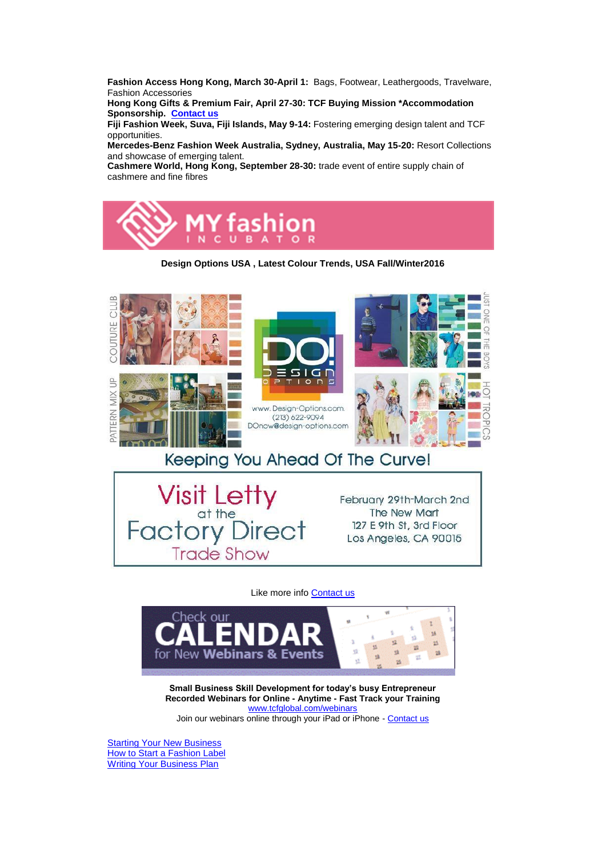**Fashion Access Hong Kong, March 30-April 1:** Bags, Footwear, Leathergoods, Travelware, Fashion Accessories

**Hong Kong Gifts & Premium Fair, April 27-30: TCF Buying Mission \*Accommodation Sponsorship. [Contact us](mailto:support@tcfwa.com?subject=Hong%20Kong%20Gifts%20%26%20Premium%20Fair%2C%20April%2027-30)**

**Fiji Fashion Week, Suva, Fiji Islands, May 9-14:** Fostering emerging design talent and TCF opportunities.

**Mercedes-Benz Fashion Week Australia, Sydney, Australia, May 15-20:** Resort Collections and showcase of emerging talent.

**Cashmere World, Hong Kong, September 28-30:** trade event of entire supply chain of cashmere and fine fibres



**Design Options USA , Latest Colour Trends, USA Fall/Winter2016**



Keeping You Ahead Of The Curve!



# Like more inf[o Contact us](mailto:support@tcfwa.com?subject=Trend%20Council)



**Small Business Skill Development for today's busy Entrepreneur Recorded Webinars for Online - Anytime - Fast Track your Training** [www.tcfglobal.com/webinars](http://bbec.bridgewaymailer.com/t/j-l-klllitl-cfliira-q/) Join our webinars online through your iPad or iPhone - [Contact us](mailto:support@belmontbec.com?subject=Question%20-%20how%20to%20access%20the%20webinar%20on%20iPad%20or%20iPhone)

**[Starting Your New Business](http://bbec.bridgewaymailer.com/t/j-l-klllitl-cfliira-a/)** [How to Start a Fashion Label](http://bbec.bridgewaymailer.com/t/j-l-klllitl-cfliira-a/) [Writing Your Business Plan](http://bbec.bridgewaymailer.com/t/j-l-klllitl-cfliira-a/)